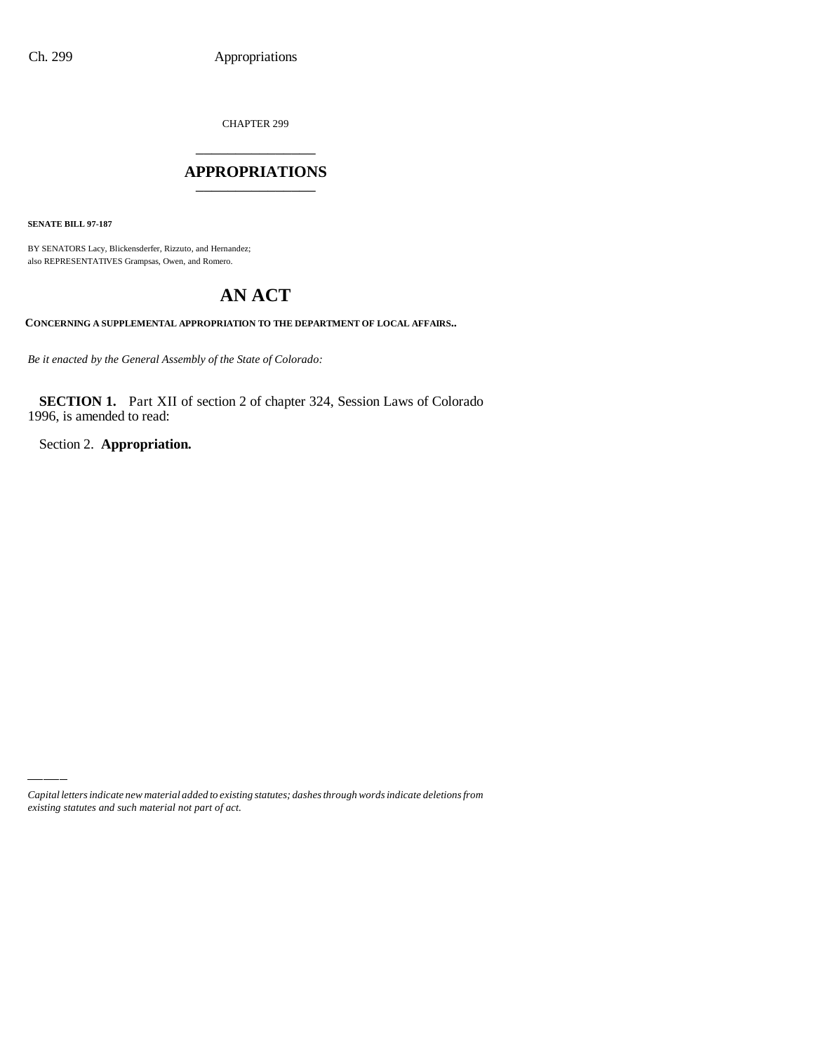CHAPTER 299

### \_\_\_\_\_\_\_\_\_\_\_\_\_\_\_ **APPROPRIATIONS** \_\_\_\_\_\_\_\_\_\_\_\_\_\_\_

**SENATE BILL 97-187**

BY SENATORS Lacy, Blickensderfer, Rizzuto, and Hernandez; also REPRESENTATIVES Grampsas, Owen, and Romero.

# **AN ACT**

**CONCERNING A SUPPLEMENTAL APPROPRIATION TO THE DEPARTMENT OF LOCAL AFFAIRS..**

*Be it enacted by the General Assembly of the State of Colorado:*

**SECTION 1.** Part XII of section 2 of chapter 324, Session Laws of Colorado 1996, is amended to read:

Section 2. **Appropriation.**

*Capital letters indicate new material added to existing statutes; dashes through words indicate deletions from existing statutes and such material not part of act.*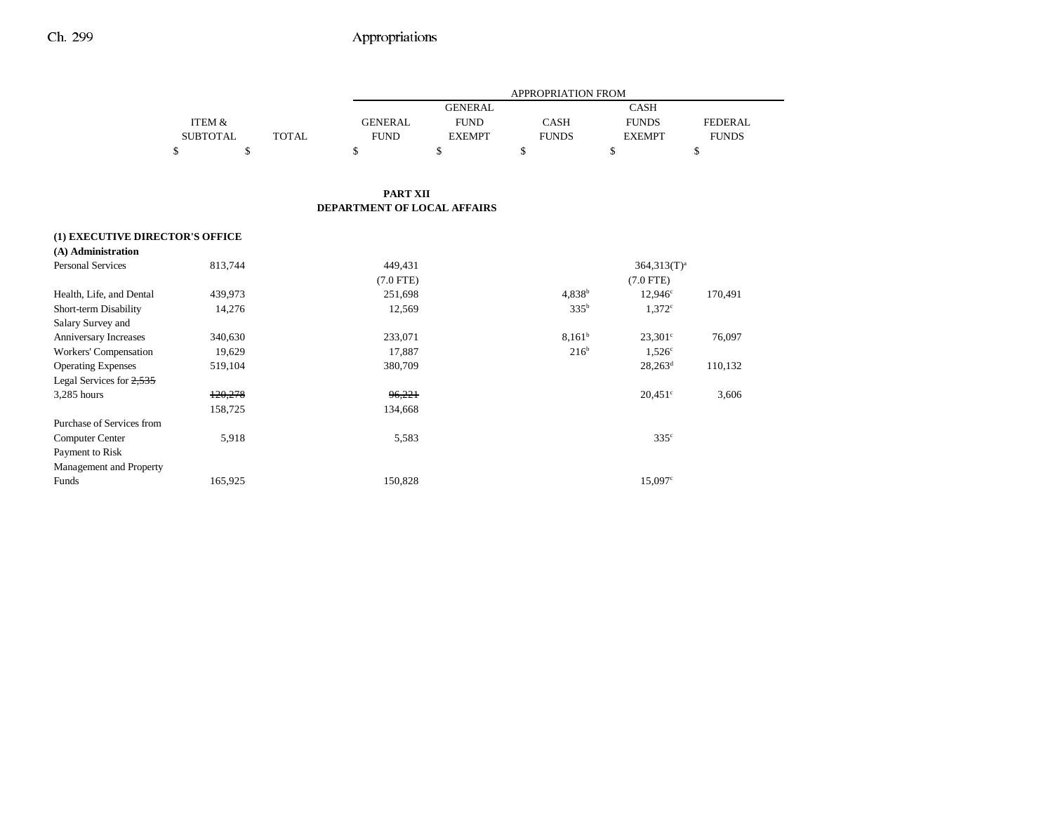|                                 |                 |              | APPROPRIATION FROM          |                |                    |                       |                |
|---------------------------------|-----------------|--------------|-----------------------------|----------------|--------------------|-----------------------|----------------|
|                                 |                 |              |                             | <b>GENERAL</b> |                    | <b>CASH</b>           |                |
|                                 | ITEM &          |              | <b>GENERAL</b>              | <b>FUND</b>    | <b>CASH</b>        | <b>FUNDS</b>          | <b>FEDERAL</b> |
|                                 | <b>SUBTOTAL</b> | <b>TOTAL</b> | <b>FUND</b>                 | <b>EXEMPT</b>  | <b>FUNDS</b>       | <b>EXEMPT</b>         | <b>FUNDS</b>   |
|                                 | \$<br>\$        |              | \$                          | \$             | \$                 | \$                    | \$             |
|                                 |                 |              |                             |                |                    |                       |                |
|                                 |                 |              | PART XII                    |                |                    |                       |                |
|                                 |                 |              | DEPARTMENT OF LOCAL AFFAIRS |                |                    |                       |                |
| (1) EXECUTIVE DIRECTOR'S OFFICE |                 |              |                             |                |                    |                       |                |
| (A) Administration              |                 |              |                             |                |                    |                       |                |
| <b>Personal Services</b>        | 813,744         |              | 449,431                     |                |                    | $364.313(T)^a$        |                |
|                                 |                 |              | $(7.0$ FTE)                 |                |                    | $(7.0$ FTE)           |                |
| Health, Life, and Dental        | 439,973         |              | 251,698                     |                | 4,838 <sup>b</sup> | $12,946^{\circ}$      | 170,491        |
| Short-term Disability           | 14,276          |              | 12,569                      |                | 335 <sup>b</sup>   | $1,372^{\circ}$       |                |
| Salary Survey and               |                 |              |                             |                |                    |                       |                |
| Anniversary Increases           | 340,630         |              | 233,071                     |                | $8,161^b$          | $23,301^{\circ}$      | 76,097         |
| Workers' Compensation           | 19,629          |              | 17,887                      |                | 216 <sup>b</sup>   | $1,526^{\circ}$       |                |
| <b>Operating Expenses</b>       | 519,104         |              | 380,709                     |                |                    | $28,263^d$            | 110,132        |
| Legal Services for 2,535        |                 |              |                             |                |                    |                       |                |
| 3,285 hours                     | 120,278         |              | 96,221                      |                |                    | $20,451$ °            | 3,606          |
|                                 | 158,725         |              | 134,668                     |                |                    |                       |                |
| Purchase of Services from       |                 |              |                             |                |                    |                       |                |
| <b>Computer Center</b>          | 5,918           |              | 5,583                       |                |                    | 335 <sup>c</sup>      |                |
| Payment to Risk                 |                 |              |                             |                |                    |                       |                |
| Management and Property         |                 |              |                             |                |                    |                       |                |
| Funds                           | 165,925         |              | 150,828                     |                |                    | $15,097$ <sup>c</sup> |                |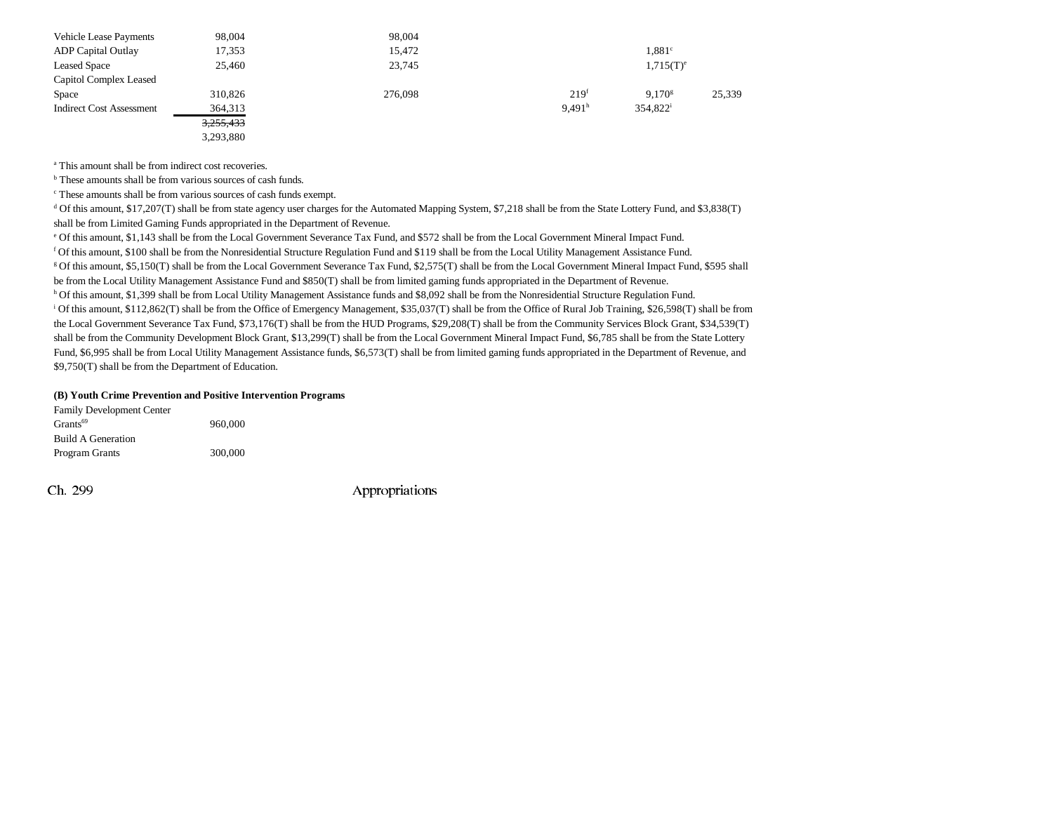| <b>Vehicle Lease Payments</b>   | 98,004    | 98,004  |                    |                      |        |
|---------------------------------|-----------|---------|--------------------|----------------------|--------|
| <b>ADP</b> Capital Outlay       | 17,353    | 15,472  |                    | 1.881 <sup>c</sup>   |        |
| <b>Leased Space</b>             | 25,460    | 23,745  |                    | $1,715(T)^e$         |        |
| Capitol Complex Leased          |           |         |                    |                      |        |
| Space                           | 310,826   | 276,098 | $219^{t}$          | 9.170 <sup>g</sup>   | 25,339 |
| <b>Indirect Cost Assessment</b> | 364,313   |         | 9.491 <sup>h</sup> | 354,822 <sup>i</sup> |        |
|                                 | 3,255,433 |         |                    |                      |        |
|                                 | 3,293,880 |         |                    |                      |        |

<sup>a</sup> This amount shall be from indirect cost recoveries.

<sup>b</sup> These amounts shall be from various sources of cash funds.

c These amounts shall be from various sources of cash funds exempt.

d Of this amount, \$17,207(T) shall be from state agency user charges for the Automated Mapping System, \$7,218 shall be from the State Lottery Fund, and \$3,838(T) shall be from Limited Gaming Funds appropriated in the Department of Revenue.

e Of this amount, \$1,143 shall be from the Local Government Severance Tax Fund, and \$572 shall be from the Local Government Mineral Impact Fund.

<sup>f</sup> Of this amount, \$100 shall be from the Nonresidential Structure Regulation Fund and \$119 shall be from the Local Utility Management Assistance Fund.<br><sup>8</sup> Of this amount, \$5,150(T) shall be from the Local Government Seve be from the Local Utility Management Assistance Fund and \$850(T) shall be from limited gaming funds appropriated in the Department of Revenue.<br><sup>h</sup> Of this amount, \$1,399 shall be from Local Utility Management Assistance fu

i Of this amount, \$112,862(T) shall be from the Office of Emergency Management, \$35,037(T) shall be from the Office of Rural Job Training, \$26,598(T) shall be from the Local Government Severance Tax Fund, \$73,176(T) shall be from the HUD Programs, \$29,208(T) shall be from the Community Services Block Grant, \$34,539(T) shall be from the Community Development Block Grant, \$13,299(T) shall be from the Local Government Mineral Impact Fund, \$6,785 shall be from the State Lottery Fund, \$6,995 shall be from Local Utility Management Assistance funds, \$6,573(T) shall be from limited gaming funds appropriated in the Department of Revenue, and \$9,750(T) shall be from the Department of Education.

#### **(B) Youth Crime Prevention and Positive Intervention Programs**

| <b>Family Development Center</b> |         |
|----------------------------------|---------|
| Grants <sup>69</sup>             | 960,000 |
| <b>Build A Generation</b>        |         |
| Program Grants                   | 300,000 |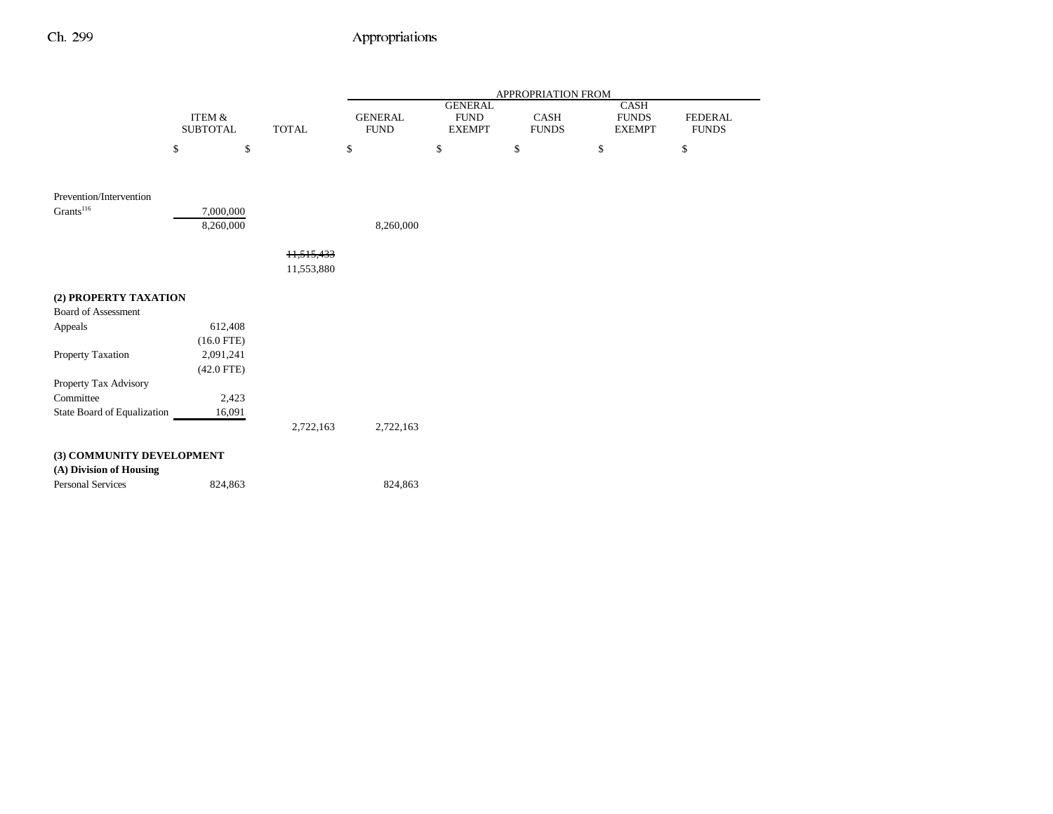|                             |                           |              |                               |                                                | APPROPRIATION FROM   |                                              |                                |
|-----------------------------|---------------------------|--------------|-------------------------------|------------------------------------------------|----------------------|----------------------------------------------|--------------------------------|
|                             | ITEM &<br><b>SUBTOTAL</b> | <b>TOTAL</b> | <b>GENERAL</b><br><b>FUND</b> | <b>GENERAL</b><br><b>FUND</b><br><b>EXEMPT</b> | CASH<br><b>FUNDS</b> | <b>CASH</b><br><b>FUNDS</b><br><b>EXEMPT</b> | <b>FEDERAL</b><br><b>FUNDS</b> |
|                             | \$<br>\$                  |              | \$                            | \$                                             | \$                   | \$                                           | \$                             |
|                             |                           |              |                               |                                                |                      |                                              |                                |
| Prevention/Intervention     |                           |              |                               |                                                |                      |                                              |                                |
| Grants <sup>116</sup>       | 7,000,000                 |              |                               |                                                |                      |                                              |                                |
|                             | 8,260,000                 |              | 8,260,000                     |                                                |                      |                                              |                                |
|                             |                           | 11.515.433   |                               |                                                |                      |                                              |                                |
|                             |                           | 11,553,880   |                               |                                                |                      |                                              |                                |
| (2) PROPERTY TAXATION       |                           |              |                               |                                                |                      |                                              |                                |
| <b>Board of Assessment</b>  |                           |              |                               |                                                |                      |                                              |                                |
| Appeals                     | 612,408                   |              |                               |                                                |                      |                                              |                                |
|                             | $(16.0$ FTE)              |              |                               |                                                |                      |                                              |                                |
| Property Taxation           | 2,091,241                 |              |                               |                                                |                      |                                              |                                |
|                             | $(42.0$ FTE)              |              |                               |                                                |                      |                                              |                                |
| Property Tax Advisory       |                           |              |                               |                                                |                      |                                              |                                |
| Committee                   | 2,423                     |              |                               |                                                |                      |                                              |                                |
| State Board of Equalization | 16,091                    |              |                               |                                                |                      |                                              |                                |
|                             |                           | 2,722,163    | 2,722,163                     |                                                |                      |                                              |                                |
| (3) COMMUNITY DEVELOPMENT   |                           |              |                               |                                                |                      |                                              |                                |
| (A) Division of Housing     |                           |              |                               |                                                |                      |                                              |                                |
| <b>Personal Services</b>    | 824,863                   |              | 824,863                       |                                                |                      |                                              |                                |
|                             |                           |              |                               |                                                |                      |                                              |                                |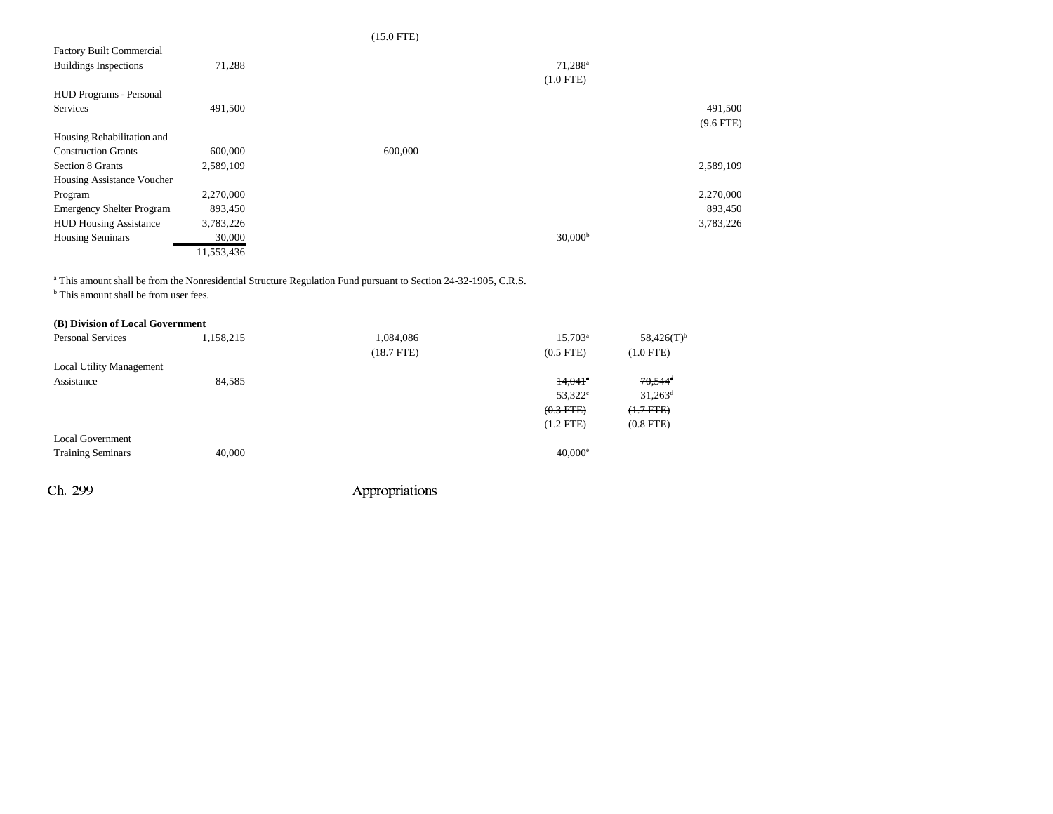### (15.0 FTE)

| <b>Factory Built Commercial</b>  |            |                     |
|----------------------------------|------------|---------------------|
| <b>Buildings Inspections</b>     | 71,288     | 71,288 <sup>a</sup> |
|                                  |            | $(1.0$ FTE)         |
| <b>HUD Programs - Personal</b>   |            |                     |
| <b>Services</b>                  | 491,500    | 491,500             |
|                                  |            | $(9.6$ FTE)         |
| Housing Rehabilitation and       |            |                     |
| <b>Construction Grants</b>       | 600,000    | 600,000             |
| Section 8 Grants                 | 2,589,109  | 2,589,109           |
| Housing Assistance Voucher       |            |                     |
| Program                          | 2,270,000  | 2,270,000           |
| <b>Emergency Shelter Program</b> | 893,450    | 893,450             |
| <b>HUD Housing Assistance</b>    | 3,783,226  | 3,783,226           |
| <b>Housing Seminars</b>          | 30,000     | 30,000 <sup>b</sup> |
|                                  | 11,553,436 |                     |

<sup>a</sup> This amount shall be from the Nonresidential Structure Regulation Fund pursuant to Section 24-32-1905, C.R.S.

<sup>b</sup> This amount shall be from user fees.

| (B) Division of Local Government |           |                 |                  |                       |
|----------------------------------|-----------|-----------------|------------------|-----------------------|
| <b>Personal Services</b>         | 1,158,215 | 1,084,086       | $15,703^{\circ}$ | $58,426(T)^{b}$       |
|                                  |           | $(18.7$ FTE $)$ | $(0.5$ FTE $)$   | $(1.0$ FTE)           |
| <b>Local Utility Management</b>  |           |                 |                  |                       |
| Assistance                       | 84,585    |                 | $14,041$ °       | $70.544$ <sup>d</sup> |
|                                  |           |                 | $53,322^{\circ}$ | $31,263^{\rm d}$      |
|                                  |           |                 | $(0.3$ FTE $)$   | $(1.7$ FTE)           |
|                                  |           |                 | $(1.2$ FTE)      | $(0.8$ FTE $)$        |
| <b>Local Government</b>          |           |                 |                  |                       |
| <b>Training Seminars</b>         | 40,000    |                 | $40,000^{\circ}$ |                       |
|                                  |           |                 |                  |                       |
|                                  |           |                 |                  |                       |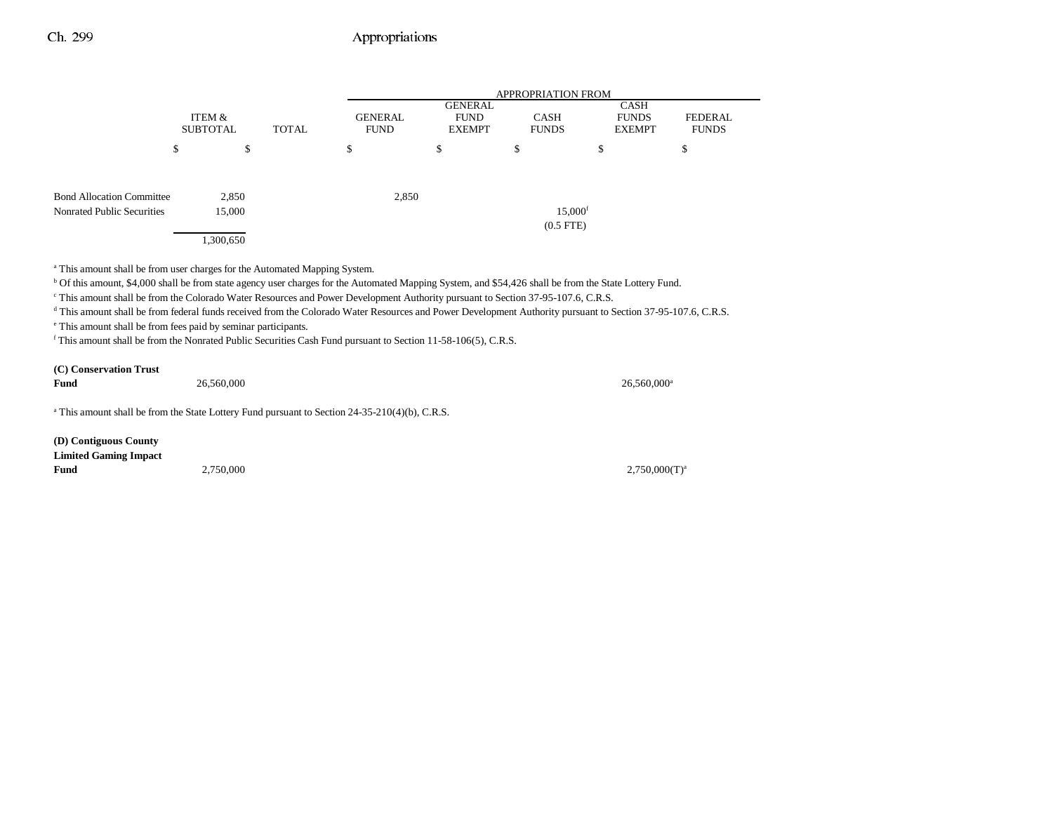|                                                                |                           |              |                        | <b>APPROPRIATION FROM</b>                      |                                         |                                              |                                |  |
|----------------------------------------------------------------|---------------------------|--------------|------------------------|------------------------------------------------|-----------------------------------------|----------------------------------------------|--------------------------------|--|
|                                                                | ITEM &<br><b>SUBTOTAL</b> | <b>TOTAL</b> | GENERAL<br><b>FUND</b> | <b>GENERAL</b><br><b>FUND</b><br><b>EXEMPT</b> | <b>CASH</b><br><b>FUNDS</b>             | <b>CASH</b><br><b>FUNDS</b><br><b>EXEMPT</b> | <b>FEDERAL</b><br><b>FUNDS</b> |  |
|                                                                | \$                        | \$           | \$                     | \$                                             | \$                                      | \$                                           | \$                             |  |
| <b>Bond Allocation Committee</b><br>Nonrated Public Securities | 2,850<br>15,000           |              | 2,850                  |                                                | $15,000$ <sup>f</sup><br>$(0.5$ FTE $)$ |                                              |                                |  |
|                                                                | 1,300,650                 |              |                        |                                                |                                         |                                              |                                |  |

<sup>a</sup> This amount shall be from user charges for the Automated Mapping System.

b Of this amount, \$4,000 shall be from state agency user charges for the Automated Mapping System, and \$54,426 shall be from the State Lottery Fund.

c This amount shall be from the Colorado Water Resources and Power Development Authority pursuant to Section 37-95-107.6, C.R.S.

d This amount shall be from federal funds received from the Colorado Water Resources and Power Development Authority pursuant to Section 37-95-107.6, C.R.S.

e This amount shall be from fees paid by seminar participants.

f This amount shall be from the Nonrated Public Securities Cash Fund pursuant to Section 11-58-106(5), C.R.S.

| (C) Conservation Trust |            |            |
|------------------------|------------|------------|
| Fund                   | 26,560,000 | 26,560,000 |

<sup>a</sup> This amount shall be from the State Lottery Fund pursuant to Section 24-35-210(4)(b), C.R.S.

**(D) Contiguous County Limited Gaming Impact Fund**

 $2,750,000$   $2,750,000$   $T)^a$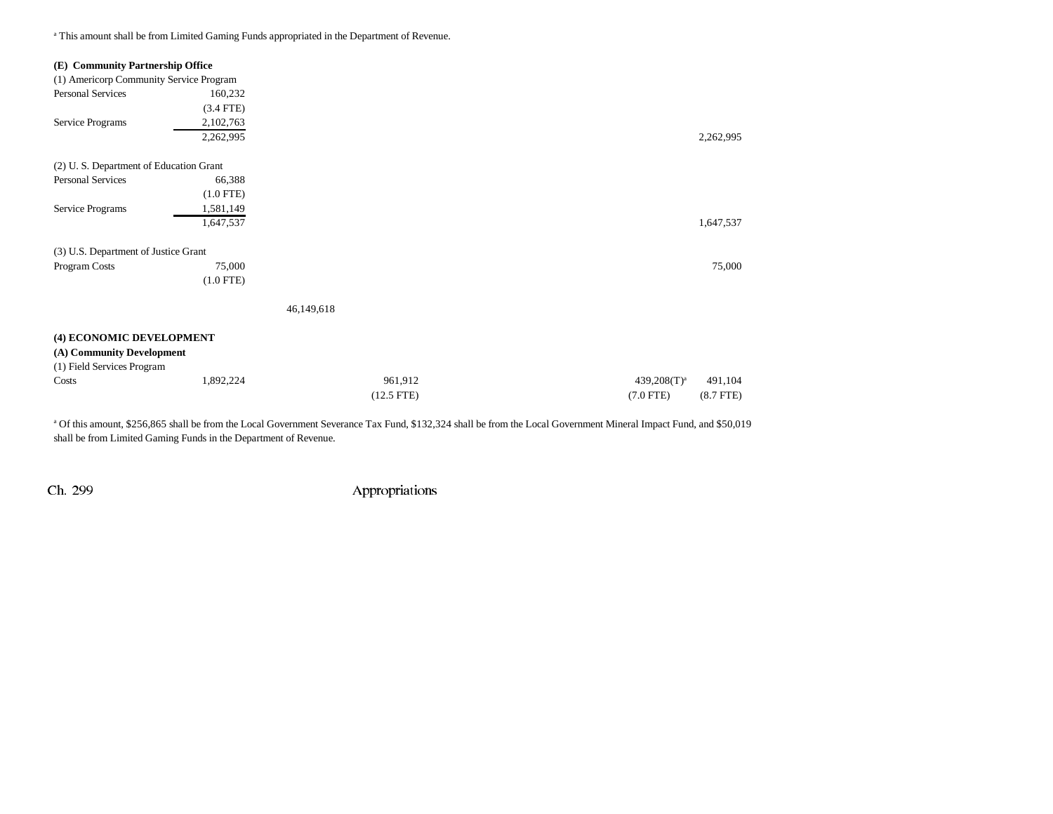<sup>a</sup> This amount shall be from Limited Gaming Funds appropriated in the Department of Revenue.

| (E) Community Partnership Office                                                    |             |              |                               |
|-------------------------------------------------------------------------------------|-------------|--------------|-------------------------------|
| (1) Americorp Community Service Program                                             |             |              |                               |
| <b>Personal Services</b>                                                            | 160,232     |              |                               |
|                                                                                     | $(3.4$ FTE) |              |                               |
| Service Programs                                                                    | 2,102,763   |              |                               |
|                                                                                     | 2,262,995   |              | 2,262,995                     |
| (2) U.S. Department of Education Grant                                              |             |              |                               |
| <b>Personal Services</b>                                                            | 66,388      |              |                               |
|                                                                                     | $(1.0$ FTE) |              |                               |
| Service Programs                                                                    | 1,581,149   |              |                               |
|                                                                                     | 1,647,537   |              | 1,647,537                     |
| (3) U.S. Department of Justice Grant                                                |             |              |                               |
| Program Costs                                                                       | 75,000      |              | 75,000                        |
|                                                                                     | $(1.0$ FTE) |              |                               |
|                                                                                     |             | 46,149,618   |                               |
| (4) ECONOMIC DEVELOPMENT<br>(A) Community Development<br>(1) Field Services Program |             |              |                               |
| Costs                                                                               | 1,892,224   | 961,912      | $439,208(T)^a$<br>491,104     |
|                                                                                     |             | $(12.5$ FTE) | $(7.0$ FTE)<br>$(8.7$ FTE $)$ |
|                                                                                     |             |              |                               |

a Of this amount, \$256,865 shall be from the Local Government Severance Tax Fund, \$132,324 shall be from the Local Government Mineral Impact Fund, and \$50,019 shall be from Limited Gaming Funds in the Department of Revenue.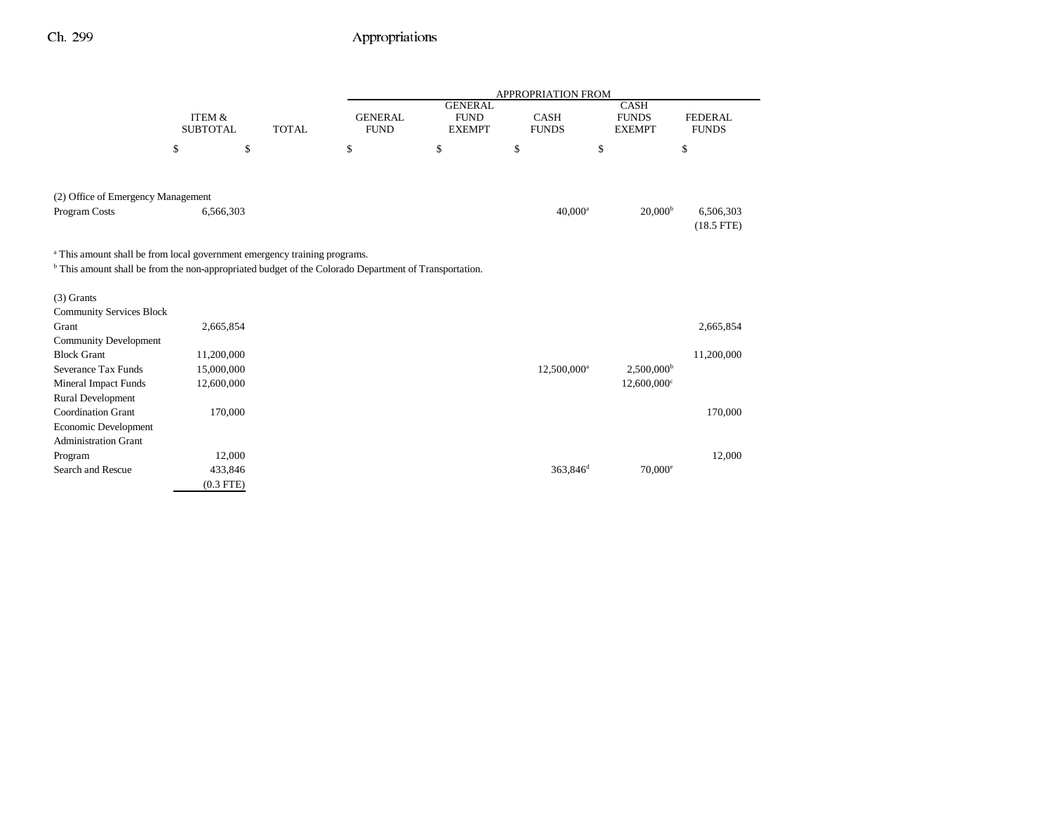|                                                                                                                  |                           |              |                               |                                                | APPROPRIATION FROM          |                                              |                                |
|------------------------------------------------------------------------------------------------------------------|---------------------------|--------------|-------------------------------|------------------------------------------------|-----------------------------|----------------------------------------------|--------------------------------|
|                                                                                                                  | ITEM &<br><b>SUBTOTAL</b> | <b>TOTAL</b> | <b>GENERAL</b><br><b>FUND</b> | <b>GENERAL</b><br><b>FUND</b><br><b>EXEMPT</b> | <b>CASH</b><br><b>FUNDS</b> | <b>CASH</b><br><b>FUNDS</b><br><b>EXEMPT</b> | <b>FEDERAL</b><br><b>FUNDS</b> |
|                                                                                                                  | \$<br>\$                  |              | \$                            | \$                                             | \$                          | \$                                           | \$                             |
| (2) Office of Emergency Management                                                                               |                           |              |                               |                                                |                             |                                              |                                |
| Program Costs                                                                                                    | 6,566,303                 |              |                               |                                                | $40,000$ <sup>a</sup>       | 20,000 <sup>b</sup>                          | 6,506,303<br>$(18.5$ FTE)      |
| <sup>a</sup> This amount shall be from local government emergency training programs.                             |                           |              |                               |                                                |                             |                                              |                                |
| <sup>b</sup> This amount shall be from the non-appropriated budget of the Colorado Department of Transportation. |                           |              |                               |                                                |                             |                                              |                                |
| $(3)$ Grants                                                                                                     |                           |              |                               |                                                |                             |                                              |                                |
| <b>Community Services Block</b>                                                                                  |                           |              |                               |                                                |                             |                                              |                                |
| Grant                                                                                                            | 2,665,854                 |              |                               |                                                |                             |                                              | 2,665,854                      |
| <b>Community Development</b>                                                                                     |                           |              |                               |                                                |                             |                                              |                                |
| <b>Block Grant</b>                                                                                               | 11,200,000                |              |                               |                                                |                             |                                              | 11,200,000                     |
| Severance Tax Funds                                                                                              | 15,000,000                |              |                               |                                                | 12,500,000 <sup>a</sup>     | $2,500,000^{\rm b}$                          |                                |
| <b>Mineral Impact Funds</b>                                                                                      | 12,600,000                |              |                               |                                                |                             | $12,600,000$ <sup>c</sup>                    |                                |
| <b>Rural Development</b>                                                                                         |                           |              |                               |                                                |                             |                                              |                                |
| <b>Coordination Grant</b>                                                                                        | 170,000                   |              |                               |                                                |                             |                                              | 170,000                        |
| Economic Development                                                                                             |                           |              |                               |                                                |                             |                                              |                                |
| <b>Administration Grant</b>                                                                                      |                           |              |                               |                                                |                             |                                              |                                |
| Program                                                                                                          | 12,000                    |              |                               |                                                |                             |                                              | 12,000                         |
| Search and Rescue                                                                                                | 433,846                   |              |                               |                                                | 363,846 <sup>d</sup>        | $70,000^{\circ}$                             |                                |
|                                                                                                                  | $(0.3$ FTE)               |              |                               |                                                |                             |                                              |                                |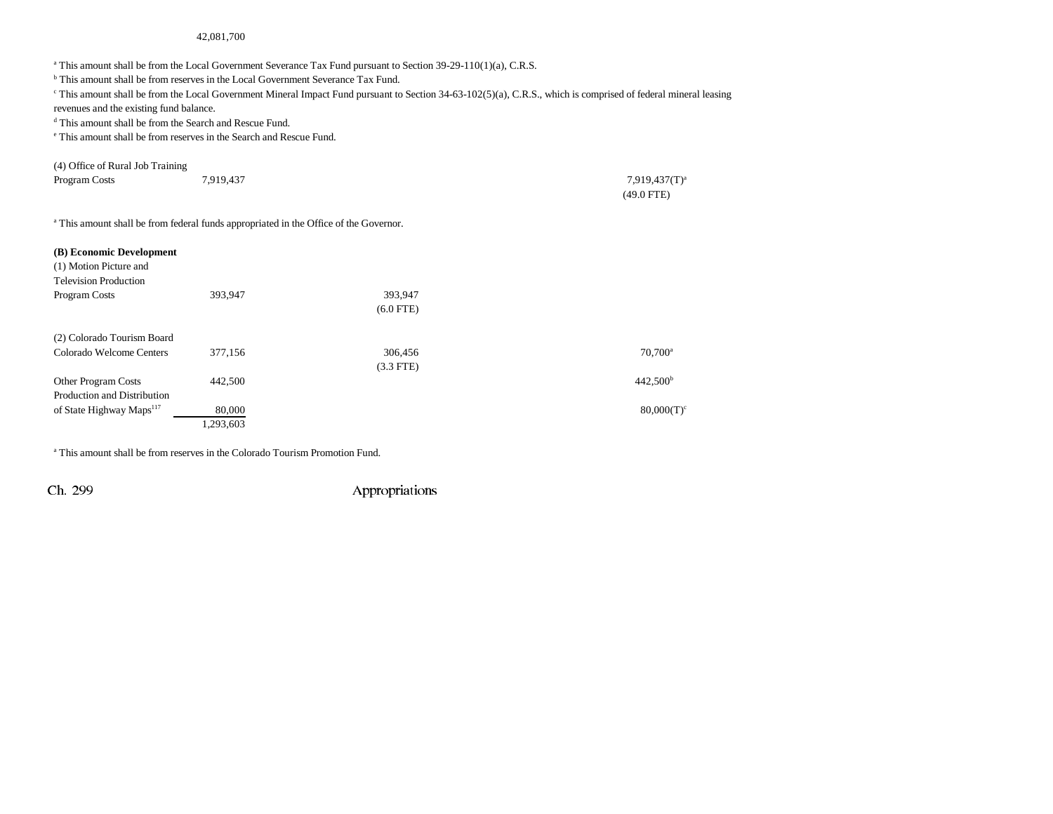#### 42,081,700

a This amount shall be from the Local Government Severance Tax Fund pursuant to Section 39-29-110(1)(a), C.R.S.

<sup>b</sup> This amount shall be from reserves in the Local Government Severance Tax Fund.

 $c$  This amount shall be from the Local Government Mineral Impact Fund pursuant to Section 34-63-102(5)(a), C.R.S., which is comprised of federal mineral leasing

revenues and the existing fund balance.

d This amount shall be from the Search and Rescue Fund.

e This amount shall be from reserves in the Search and Rescue Fund.

| (4) Office of Rural Job Training |           |                  |
|----------------------------------|-----------|------------------|
| Program Costs                    | 7.919.437 | $7.919,437(T)^a$ |
|                                  |           | $(49.0$ FTE)     |

<sup>a</sup> This amount shall be from federal funds appropriated in the Office of the Governor.

| (B) Economic Development<br>(1) Motion Picture and<br><b>Television Production</b> |           |             |                      |
|------------------------------------------------------------------------------------|-----------|-------------|----------------------|
| Program Costs                                                                      | 393,947   | 393,947     |                      |
|                                                                                    |           | $(6.0$ FTE) |                      |
| (2) Colorado Tourism Board                                                         |           |             |                      |
| Colorado Welcome Centers                                                           | 377,156   | 306,456     | 70.700 <sup>a</sup>  |
|                                                                                    |           | $(3.3$ FTE) |                      |
| <b>Other Program Costs</b>                                                         | 442,500   |             | 442,500 <sup>b</sup> |
| Production and Distribution                                                        |           |             |                      |
| of State Highway Maps <sup>117</sup>                                               | 80,000    |             | $80,000(T)^c$        |
|                                                                                    | 1,293,603 |             |                      |

a This amount shall be from reserves in the Colorado Tourism Promotion Fund.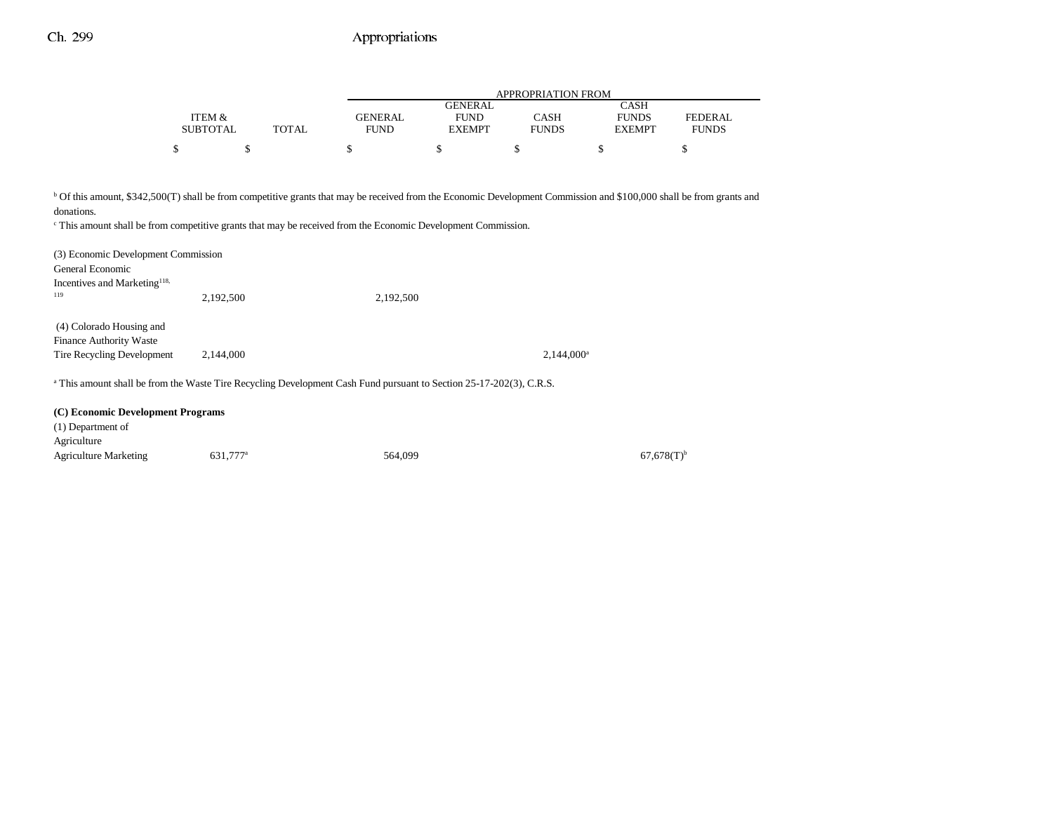|                 |              |         | <b>APPROPRIATION FROM</b> |              |               |              |  |  |
|-----------------|--------------|---------|---------------------------|--------------|---------------|--------------|--|--|
|                 |              |         | GENERAL                   |              | CASH          |              |  |  |
| ITEM &          |              | GENERAL | <b>FUND</b>               | CASH         | <b>FUNDS</b>  | FEDERAL      |  |  |
| <b>SUBTOTAL</b> | <b>TOTAL</b> | FUND    | <b>EXEMPT</b>             | <b>FUNDS</b> | <b>EXEMPT</b> | <b>FUNDS</b> |  |  |
| Φ               |              |         |                           |              |               |              |  |  |

<sup>b</sup> Of this amount, \$342,500(T) shall be from competitive grants that may be received from the Economic Development Commission and \$100,000 shall be from grants and

donations.

c This amount shall be from competitive grants that may be received from the Economic Development Commission.

| (3) Economic Development Commission<br>General Economic                           |                                                                                                                                |           |               |
|-----------------------------------------------------------------------------------|--------------------------------------------------------------------------------------------------------------------------------|-----------|---------------|
| Incentives and Marketing <sup>118,</sup>                                          |                                                                                                                                |           |               |
| 119                                                                               | 2,192,500                                                                                                                      | 2,192,500 |               |
| (4) Colorado Housing and<br>Finance Authority Waste<br>Tire Recycling Development | 2.144,000                                                                                                                      |           | $2,144,000^a$ |
|                                                                                   | <sup>a</sup> This amount shall be from the Waste Tire Recycling Development Cash Fund pursuant to Section 25-17-202(3), C.R.S. |           |               |
|                                                                                   |                                                                                                                                |           |               |

#### **(C) Economic Development Programs** (1) Department of

| $(1)$ Department of          |                      |         |                          |
|------------------------------|----------------------|---------|--------------------------|
| Agriculture                  |                      |         |                          |
| <b>Agriculture Marketing</b> | 631.777 <sup>a</sup> | 564,099 | $67,678(T)$ <sup>t</sup> |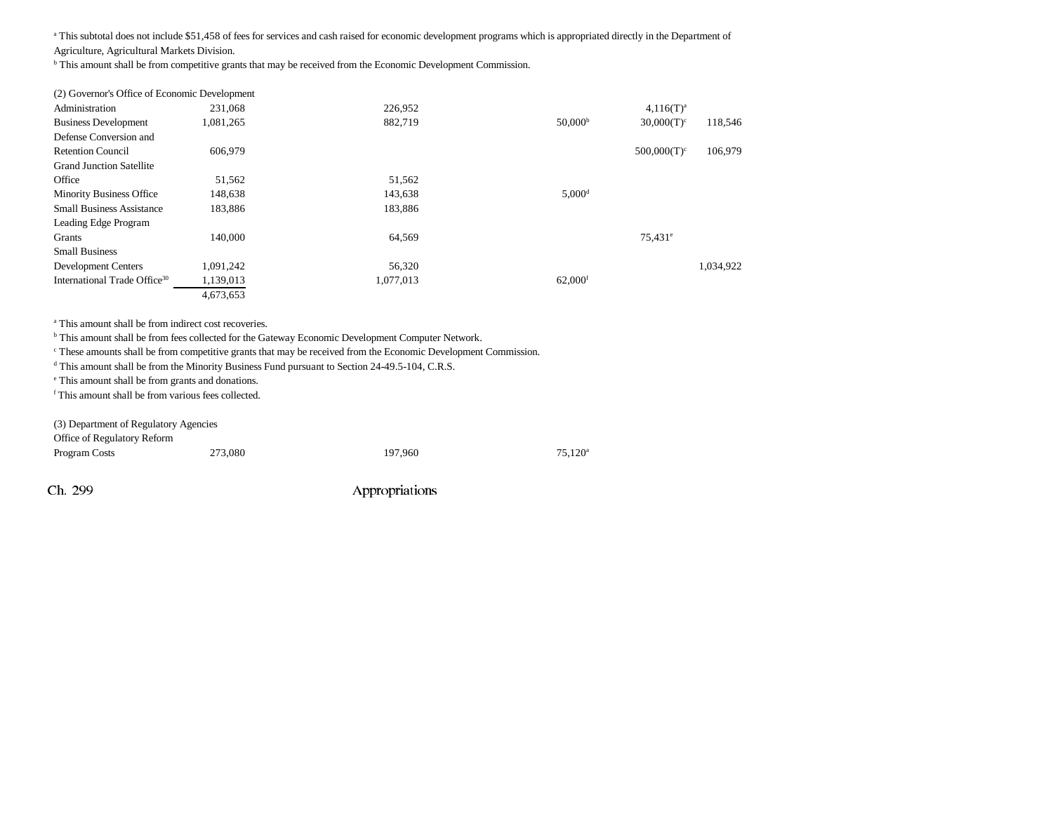<sup>a</sup> This subtotal does not include \$51,458 of fees for services and cash raised for economic development programs which is appropriated directly in the Department of

Agriculture, Agricultural Markets Division.

b This amount shall be from competitive grants that may be received from the Economic Development Commission.

| (2) Governor's Office of Economic Development |           |           |                       |                       |           |
|-----------------------------------------------|-----------|-----------|-----------------------|-----------------------|-----------|
| Administration                                | 231.068   | 226,952   |                       | $4,116(T)^a$          |           |
| <b>Business Development</b>                   | .081.265  | 882.719   | 50,000 <sup>b</sup>   | $30,000(T)^c$         | 118,546   |
| Defense Conversion and                        |           |           |                       |                       |           |
| <b>Retention Council</b>                      | 606,979   |           |                       | $500,000(T)^c$        | 106,979   |
| <b>Grand Junction Satellite</b>               |           |           |                       |                       |           |
| Office                                        | 51,562    | 51,562    |                       |                       |           |
| <b>Minority Business Office</b>               | 148,638   | 143,638   | $5,000$ <sup>d</sup>  |                       |           |
| <b>Small Business Assistance</b>              | 183,886   | 183,886   |                       |                       |           |
| Leading Edge Program                          |           |           |                       |                       |           |
| Grants                                        | 140,000   | 64.569    |                       | $75.431$ <sup>e</sup> |           |
| <b>Small Business</b>                         |           |           |                       |                       |           |
| <b>Development Centers</b>                    | 1,091,242 | 56,320    |                       |                       | 1.034.922 |
| International Trade Office <sup>30</sup>      | 1,139,013 | 1,077,013 | $62,000$ <sup>f</sup> |                       |           |
|                                               | 4,673,653 |           |                       |                       |           |

<sup>a</sup> This amount shall be from indirect cost recoveries.

b This amount shall be from fees collected for the Gateway Economic Development Computer Network.

c These amounts shall be from competitive grants that may be received from the Economic Development Commission.

<sup>d</sup> This amount shall be from the Minority Business Fund pursuant to Section 24-49.5-104, C.R.S.

e This amount shall be from grants and donations.

f This amount shall be from various fees collected.

(3) Department of Regulatory Agencies

Office of Regulatory Reform Program Costs 273,080 275,120<sup>a</sup> 197,960 75,120<sup>a</sup>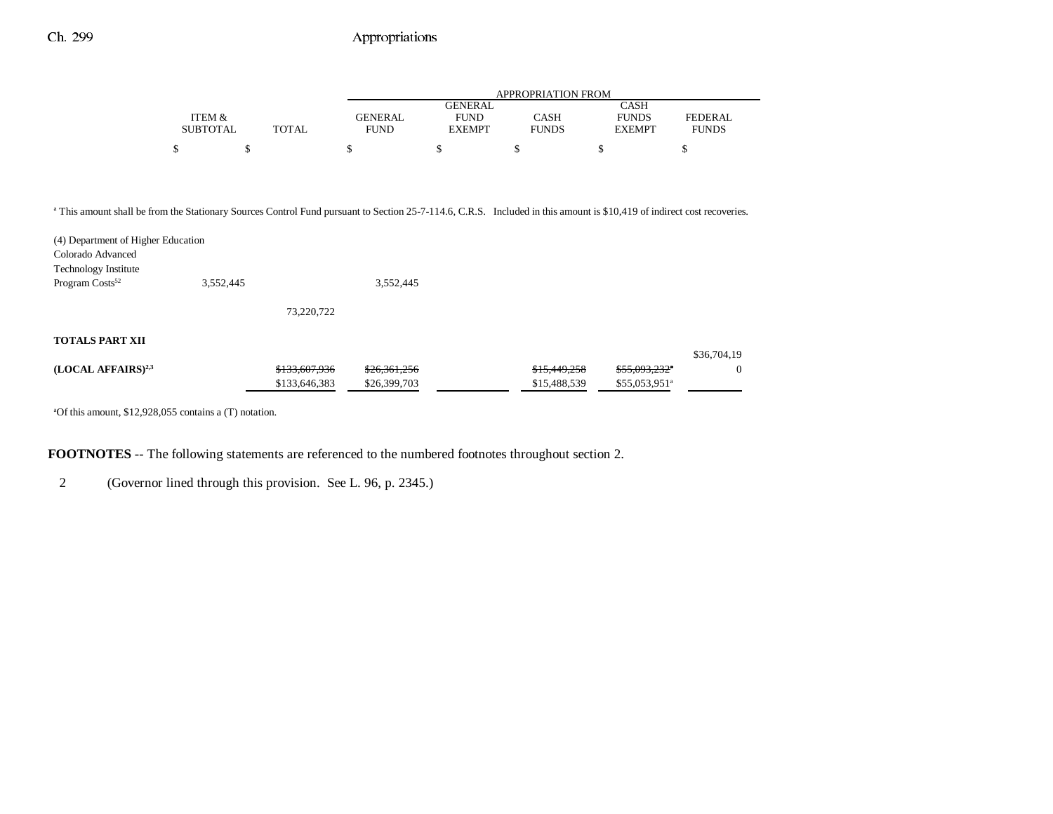|                 |              | APPROPRIATION FROM |                |              |               |                |  |
|-----------------|--------------|--------------------|----------------|--------------|---------------|----------------|--|
|                 |              |                    | <b>GENERAL</b> |              | CASH          |                |  |
| ITEM &          |              | <b>GENERAL</b>     | <b>FUND</b>    | CASH         | <b>FUNDS</b>  | <b>FEDERAL</b> |  |
| <b>SUBTOTAL</b> | <b>TOTAL</b> | FUND               | <b>EXEMPT</b>  | <b>FUNDS</b> | <b>EXEMPT</b> | <b>FUNDS</b>   |  |
| \$              |              |                    |                |              |               |                |  |
|                 |              |                    |                |              |               |                |  |

a This amount shall be from the Stationary Sources Control Fund pursuant to Section 25-7-114.6, C.R.S. Included in this amount is \$10,419 of indirect cost recoveries.

| (4) Department of Higher Education<br>Colorado Advanced |           |               |              |              |                           |             |
|---------------------------------------------------------|-----------|---------------|--------------|--------------|---------------------------|-------------|
| <b>Technology Institute</b>                             |           |               |              |              |                           |             |
| Program $\text{Costs}^{52}$                             | 3,552,445 |               | 3,552,445    |              |                           |             |
|                                                         |           | 73,220,722    |              |              |                           |             |
| <b>TOTALS PART XII</b>                                  |           |               |              |              |                           |             |
|                                                         |           |               |              |              |                           | \$36,704,19 |
| (LOCAL AFFAIRS) <sup>2,3</sup>                          |           | \$133,607,936 | \$26,361,256 | \$15,449,258 | \$55,093,232"             | $\Omega$    |
|                                                         |           | \$133,646,383 | \$26,399,703 | \$15,488,539 | \$55,053,951 <sup>a</sup> |             |

aOf this amount, \$12,928,055 contains a (T) notation.

**FOOTNOTES** -- The following statements are referenced to the numbered footnotes throughout section 2.

2 (Governor lined through this provision. See L. 96, p. 2345.)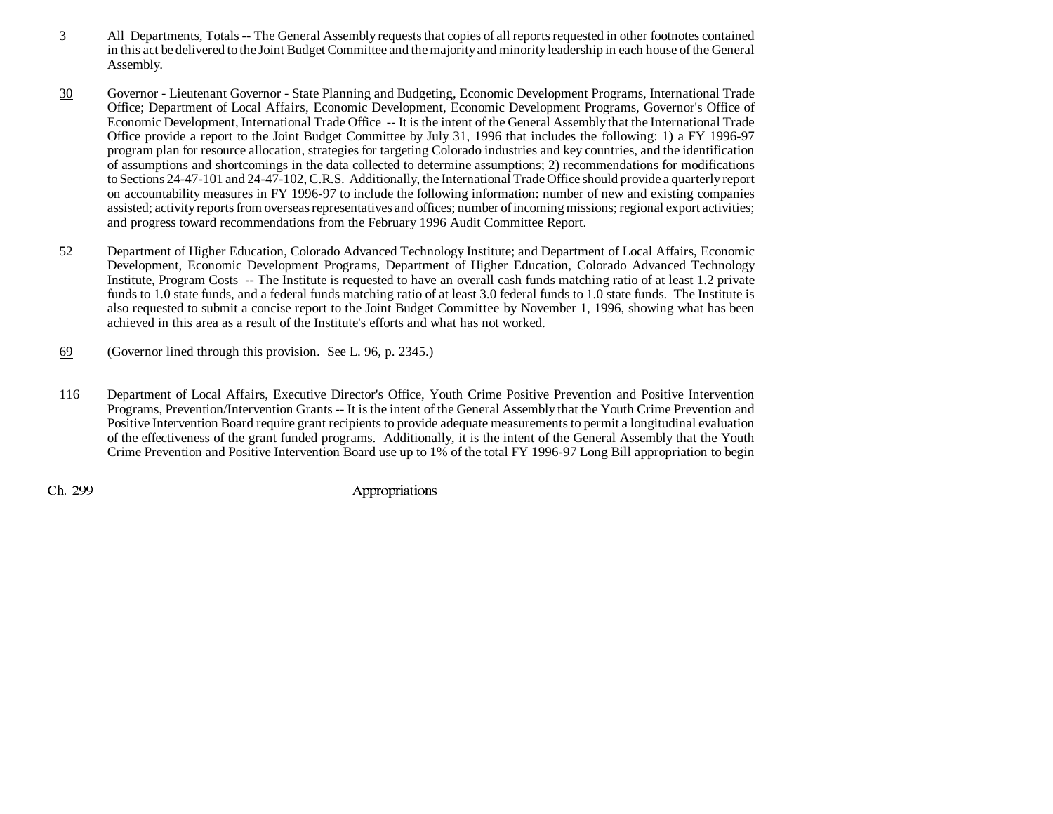- 3 All Departments, Totals -- The General Assembly requests that copies of all reports requested in other footnotes contained in this act be delivered to the Joint Budget Committee and the majority and minority leadership in each house of the General Assembly.
- 30 Governor - Lieutenant Governor - State Planning and Budgeting, Economic Development Programs, International Trade Office; Department of Local Affairs, Economic Development, Economic Development Programs, Governor's Office of Economic Development, International Trade Office -- It is the intent of the General Assembly that the International Trade Office provide a report to the Joint Budget Committee by July 31, 1996 that includes the following: 1) a FY 1996-97 program plan for resource allocation, strategies for targeting Colorado industries and key countries, and the identification of assumptions and shortcomings in the data collected to determine assumptions; 2) recommendations for modifications to Sections 24-47-101 and 24-47-102, C.R.S. Additionally, the International Trade Office should provide a quarterly report on accountability measures in FY 1996-97 to include the following information: number of new and existing companies assisted; activity reports from overseas representatives and offices; number of incoming missions; regional export activities; and progress toward recommendations from the February 1996 Audit Committee Report.
- 52 Department of Higher Education, Colorado Advanced Technology Institute; and Department of Local Affairs, Economic Development, Economic Development Programs, Department of Higher Education, Colorado Advanced Technology Institute, Program Costs -- The Institute is requested to have an overall cash funds matching ratio of at least 1.2 private funds to 1.0 state funds, and a federal funds matching ratio of at least 3.0 federal funds to 1.0 state funds. The Institute is also requested to submit a concise report to the Joint Budget Committee by November 1, 1996, showing what has been achieved in this area as a result of the Institute's efforts and what has not worked.
- 69(Governor lined through this provision. See L. 96, p. 2345.)
- 116 Department of Local Affairs, Executive Director's Office, Youth Crime Positive Prevention and Positive Intervention Programs, Prevention/Intervention Grants -- It is the intent of the General Assembly that the Youth Crime Prevention and Positive Intervention Board require grant recipients to provide adequate measurements to permit a longitudinal evaluation of the effectiveness of the grant funded programs. Additionally, it is the intent of the General Assembly that the Youth Crime Prevention and Positive Intervention Board use up to 1% of the total FY 1996-97 Long Bill appropriation to begin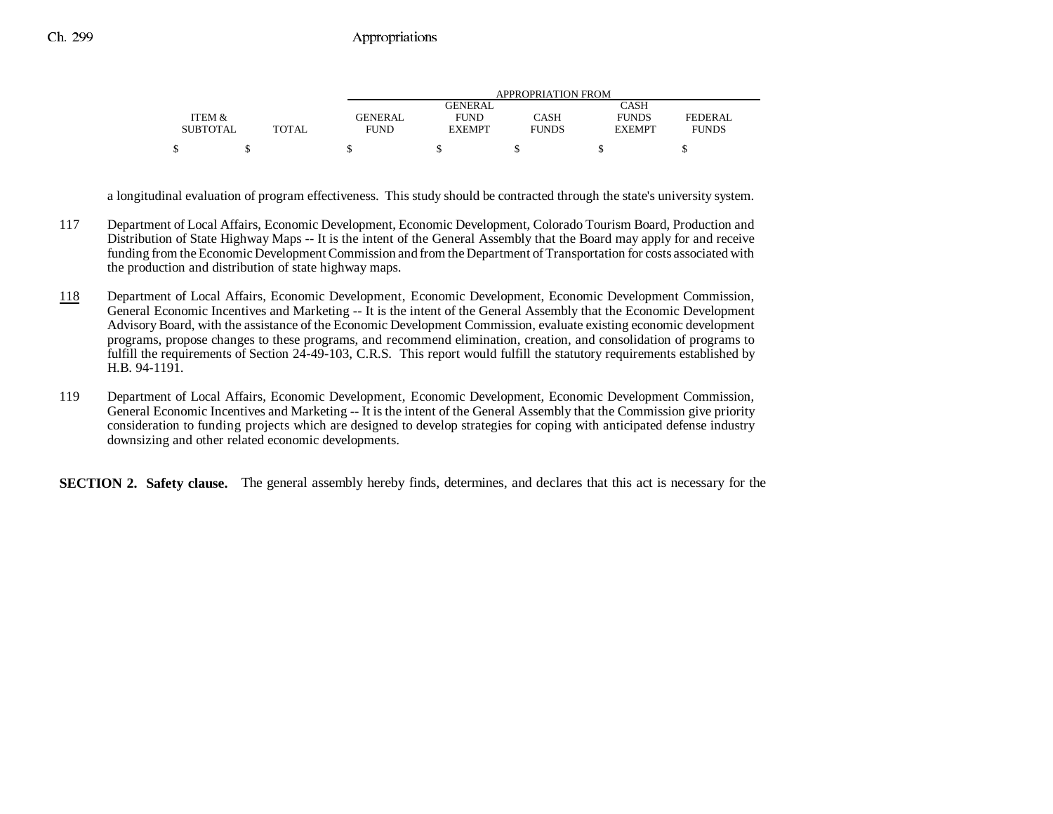|                 |              | APPROPRIATION FROM |               |              |               |              |  |
|-----------------|--------------|--------------------|---------------|--------------|---------------|--------------|--|
|                 |              |                    | GENERAL       |              | CASH          |              |  |
| ITEM &          |              | GENERAL            | <b>FUND</b>   | CASH         | <b>FUNDS</b>  | FEDERAL      |  |
| <b>SUBTOTAL</b> | <b>TOTAL</b> | FUND               | <b>EXEMPT</b> | <b>FUNDS</b> | <b>EXEMPT</b> | <b>FUNDS</b> |  |
|                 |              |                    |               |              |               |              |  |

a longitudinal evaluation of program effectiveness. This study should be contracted through the state's university system.

- 117 Department of Local Affairs, Economic Development, Economic Development, Colorado Tourism Board, Production and Distribution of State Highway Maps -- It is the intent of the General Assembly that the Board may apply for and receive funding from the Economic Development Commission and from the Department of Transportation for costs associated with the production and distribution of state highway maps.
- 118 Department of Local Affairs, Economic Development, Economic Development, Economic Development Commission, General Economic Incentives and Marketing -- It is the intent of the General Assembly that the Economic Development Advisory Board, with the assistance of the Economic Development Commission, evaluate existing economic development programs, propose changes to these programs, and recommend elimination, creation, and consolidation of programs to fulfill the requirements of Section 24-49-103, C.R.S. This report would fulfill the statutory requirements established by H.B. 94-1191.
- 119 Department of Local Affairs, Economic Development, Economic Development, Economic Development Commission, General Economic Incentives and Marketing -- It is the intent of the General Assembly that the Commission give priority consideration to funding projects which are designed to develop strategies for coping with anticipated defense industry downsizing and other related economic developments.

**SECTION 2. Safety clause.** The general assembly hereby finds, determines, and declares that this act is necessary for the